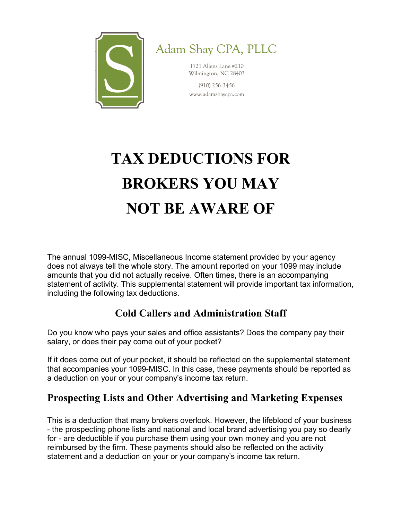

Adam Shay CPA, PLLC

1721 Allens Lane #210 Wilmington, NC 28403

 $(910)$  256-3456 www.adamshaycpa.com

# TAX DEDUCTIONS FOR BROKERS YOU MAY NOT BE AWARE OF

The annual 1099-MISC, Miscellaneous Income statement provided by your agency does not always tell the whole story. The amount reported on your 1099 may include amounts that you did not actually receive. Often times, there is an accompanying statement of activity. This supplemental statement will provide important tax information, including the following tax deductions.

# Cold Callers and Administration Staff

Do you know who pays your sales and office assistants? Does the company pay their salary, or does their pay come out of your pocket?

If it does come out of your pocket, it should be reflected on the supplemental statement that accompanies your 1099-MISC. In this case, these payments should be reported as a deduction on your or your company's income tax return.

# Prospecting Lists and Other Advertising and Marketing Expenses

This is a deduction that many brokers overlook. However, the lifeblood of your business - the prospecting phone lists and national and local brand advertising you pay so dearly for - are deductible if you purchase them using your own money and you are not reimbursed by the firm. These payments should also be reflected on the activity statement and a deduction on your or your company's income tax return.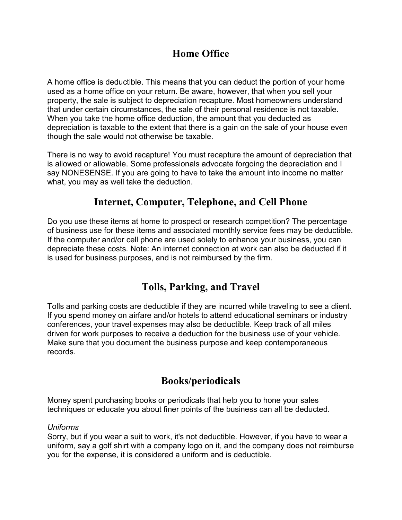# Home Office

A home office is deductible. This means that you can deduct the portion of your home used as a home office on your return. Be aware, however, that when you sell your property, the sale is subject to depreciation recapture. Most homeowners understand that under certain circumstances, the sale of their personal residence is not taxable. When you take the home office deduction, the amount that you deducted as depreciation is taxable to the extent that there is a gain on the sale of your house even though the sale would not otherwise be taxable.

There is no way to avoid recapture! You must recapture the amount of depreciation that is allowed or allowable. Some professionals advocate forgoing the depreciation and I say NONESENSE. If you are going to have to take the amount into income no matter what, you may as well take the deduction.

### Internet, Computer, Telephone, and Cell Phone

Do you use these items at home to prospect or research competition? The percentage of business use for these items and associated monthly service fees may be deductible. If the computer and/or cell phone are used solely to enhance your business, you can depreciate these costs. Note: An internet connection at work can also be deducted if it is used for business purposes, and is not reimbursed by the firm.

# Tolls, Parking, and Travel

Tolls and parking costs are deductible if they are incurred while traveling to see a client. If you spend money on airfare and/or hotels to attend educational seminars or industry conferences, your travel expenses may also be deductible. Keep track of all miles driven for work purposes to receive a deduction for the business use of your vehicle. Make sure that you document the business purpose and keep contemporaneous records.

### Books/periodicals

Money spent purchasing books or periodicals that help you to hone your sales techniques or educate you about finer points of the business can all be deducted.

#### Uniforms

Sorry, but if you wear a suit to work, it's not deductible. However, if you have to wear a uniform, say a golf shirt with a company logo on it, and the company does not reimburse you for the expense, it is considered a uniform and is deductible.